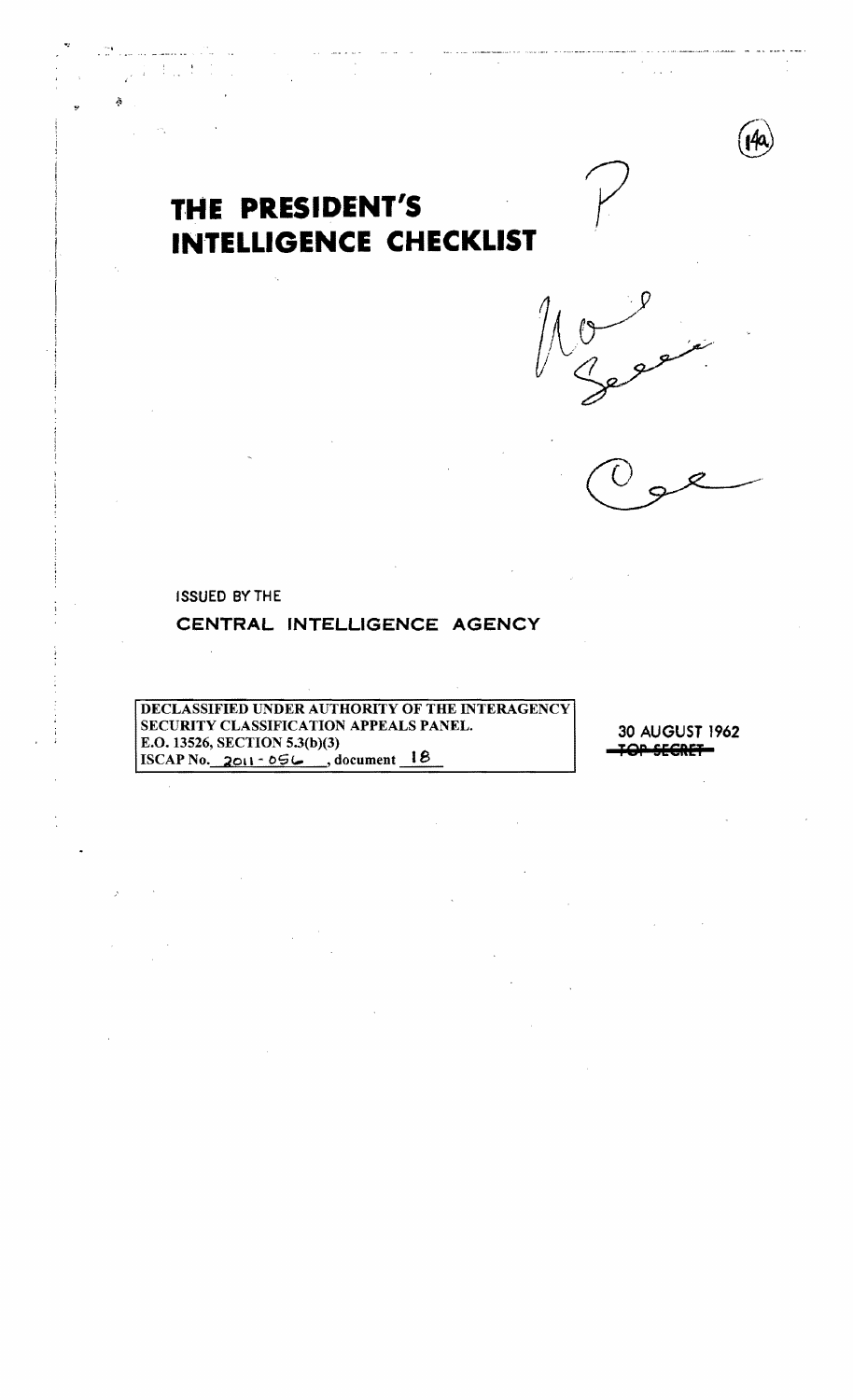



?

ISSUED BYTHE

الأنبيا التقاري

# **CENTRAL INTELUGENCE AGENCY**

DECLASSIFIED UNDER AUTHORITY OF THE INTERAGENCY SECURITY CLASSIFICATION APPEALS PANEL. E.O. 13526, SECTION 5.3(b)(3) ISCAP No. 2011-05 $\mu$ , document 18

30 AUGUST 1962 **TQP &iSIET**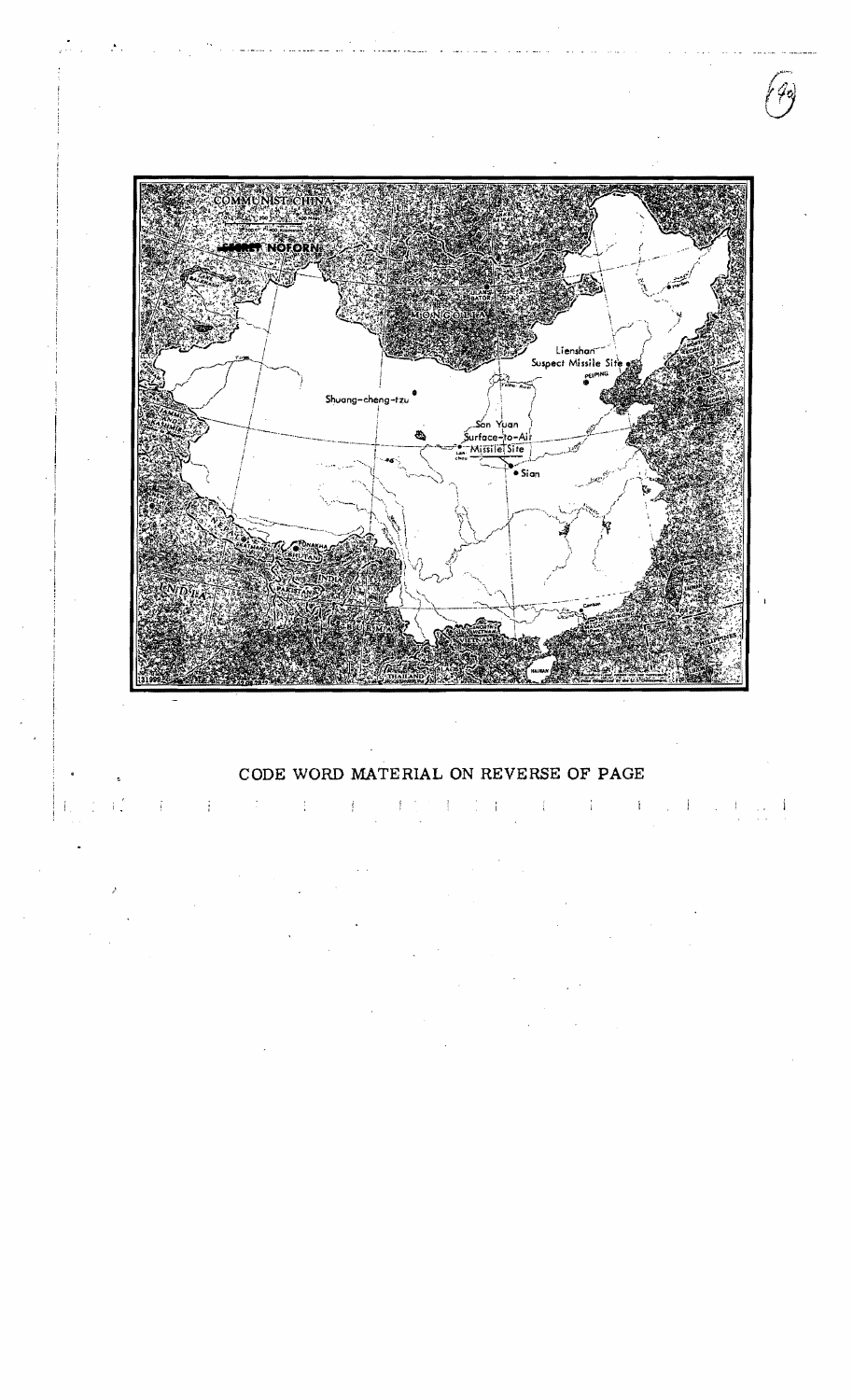

CODE WORD MATERIAL ON REVERSE **OF** PAGE

 $\mathbb{E}[\mathbb{E}[\mathbb{E}[\mathbb{E}[\mathbb{E}[\mathbb{E}[\mathbb{E}[\mathbb{E}[\mathbb{E}[\mathbb{E}[\mathbb{E}[\mathbb{E}[\mathbb{E}[\mathbb{E}[\mathbb{E}[\mathbb{E}[\mathbb{E}[\mathbb{E}[\mathbb{E}[\mathbb{E}[\mathbb{E}[\mathbb{E}[\mathbb{E}[\mathbb{E}[\mathbb{E}[\mathbb{E}[\mathbb{E}[\mathbb{E}[\mathbb{E}[\mathbb{E}[\mathbb{E}[\mathbb{E}[\mathbb{E}[\mathbb{E}[\mathbb{E}[\mathbb{E}[\mathbb{$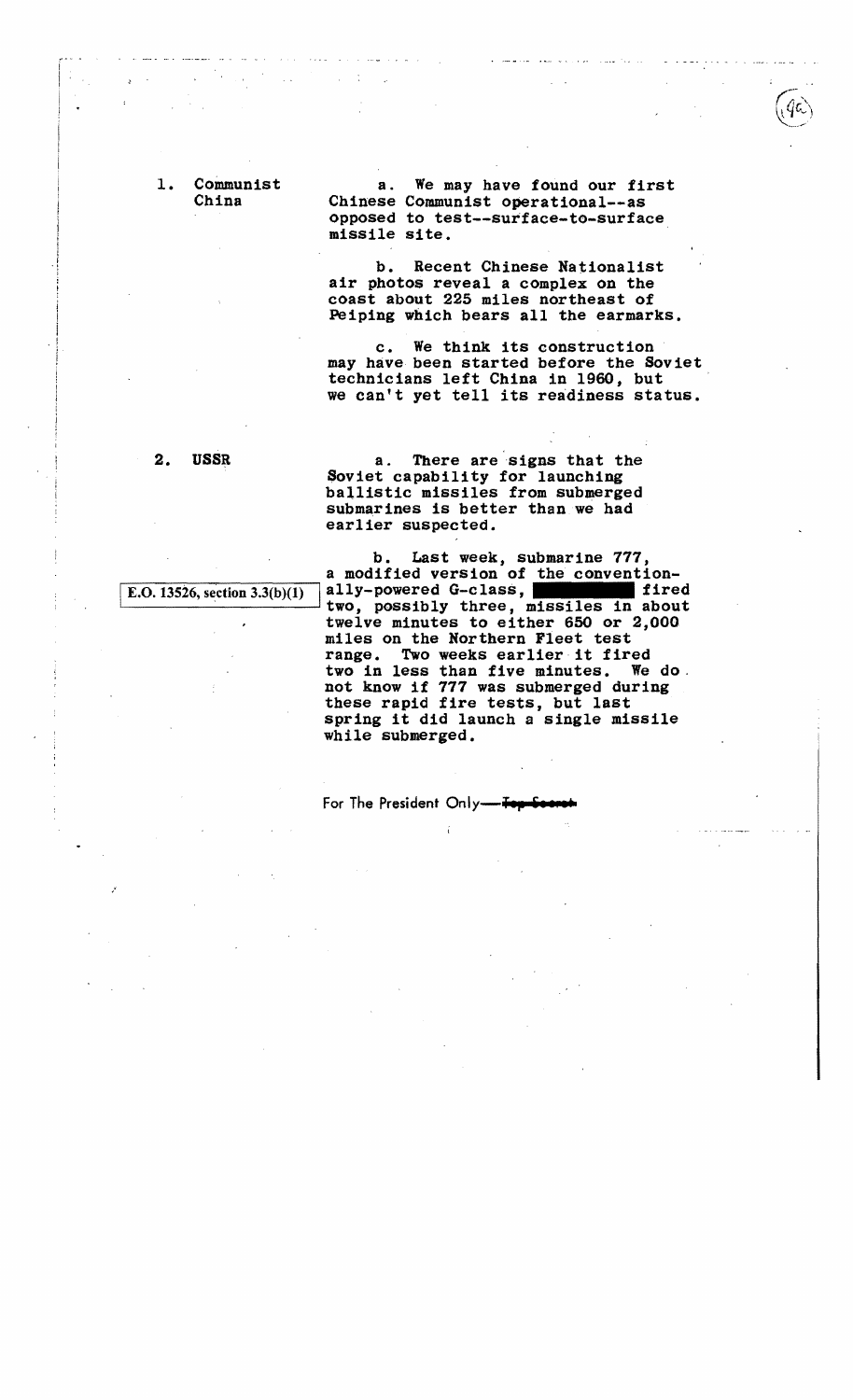1. Communist a. We may have found our first<br>China Chinese Communist operational--as opposed to test--surface-to-surface missile site.

> b. Recent Chinese Nationalist air photos reveal a complex on the coast about 225 miles northeast of Peiping which bears all the earmarks.

c. We think its construction may have been started before the Soviet<br>technicians left China in 1960, but we can't yet tell its readiness status.

/

2. USSR a. There are signs that the Soviet capability for launching ballistic missiles from submerged submarines is better than we had earlier suspected.

b. Last week, submarine 777, a modified version of the convention-<br>ally-powered G-class, E.O. 13526, section 3.3(b)(1) ally-powered G-class, **firstless** in about two, possibly three, missiles in about twelve minutes to either 650 or 2,000 miles on the Northern Fleet test range. Two weeks earlier it fired two in less than five minutes. We do.<br>not know if 777 was submerged during these rapid fire tests, but last spring it did launch a single missile while submerged.

**For The President Only-<del>Top</del>**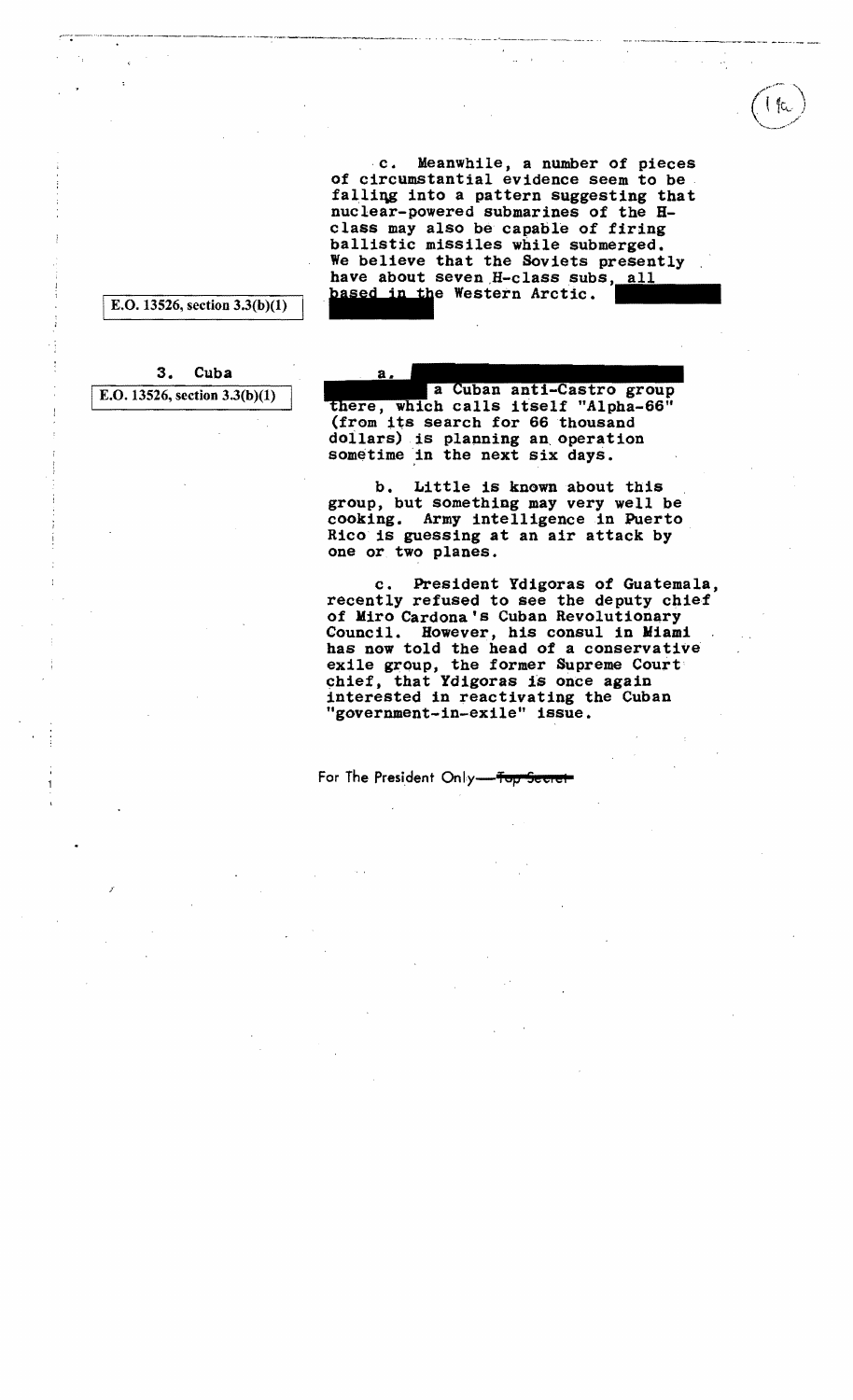c. Meanwhile, a number of pieces c. Meanwhile, a number of pieces<br>of circumstantial evidence seem to be falliqg into a pattern suggesting that nuclear-powered submarines of the H class may also be capable of firing ballistic missiles while submerged. We believe that the Soviets presently have about seven H-class subs, based in the Western Arctic.

IE.O. 13526, section 3.3(b)(I)

3. Cuba E.O. 13526, section  $3.3(b)(1)$ 

 $\mathcal{E}^{\prime}$ 

a Cuban anti-Castro group, which calls itself "Alpha-66" (from its search for 66 thousand doilars) is planning an, operation sometime in the next six days.

а.

b. Little is known about this group, but something may very well be cooking. Army intelligence in Puerto Rico is guessing at an air attack by one or two planes.

c. President Ydigoras of Guatemala, recently refused to see the deputy chief of Miro Cardona's Cuban Revolutionary<br>Council. However, his consul in Miami has now told the head of a conservative exile group, the former Supreme Court chief, that Ydigoras is once again<br>interested in reactivating the Cuban "government-in-exile" issue.

For The President Only-<del>Top</del>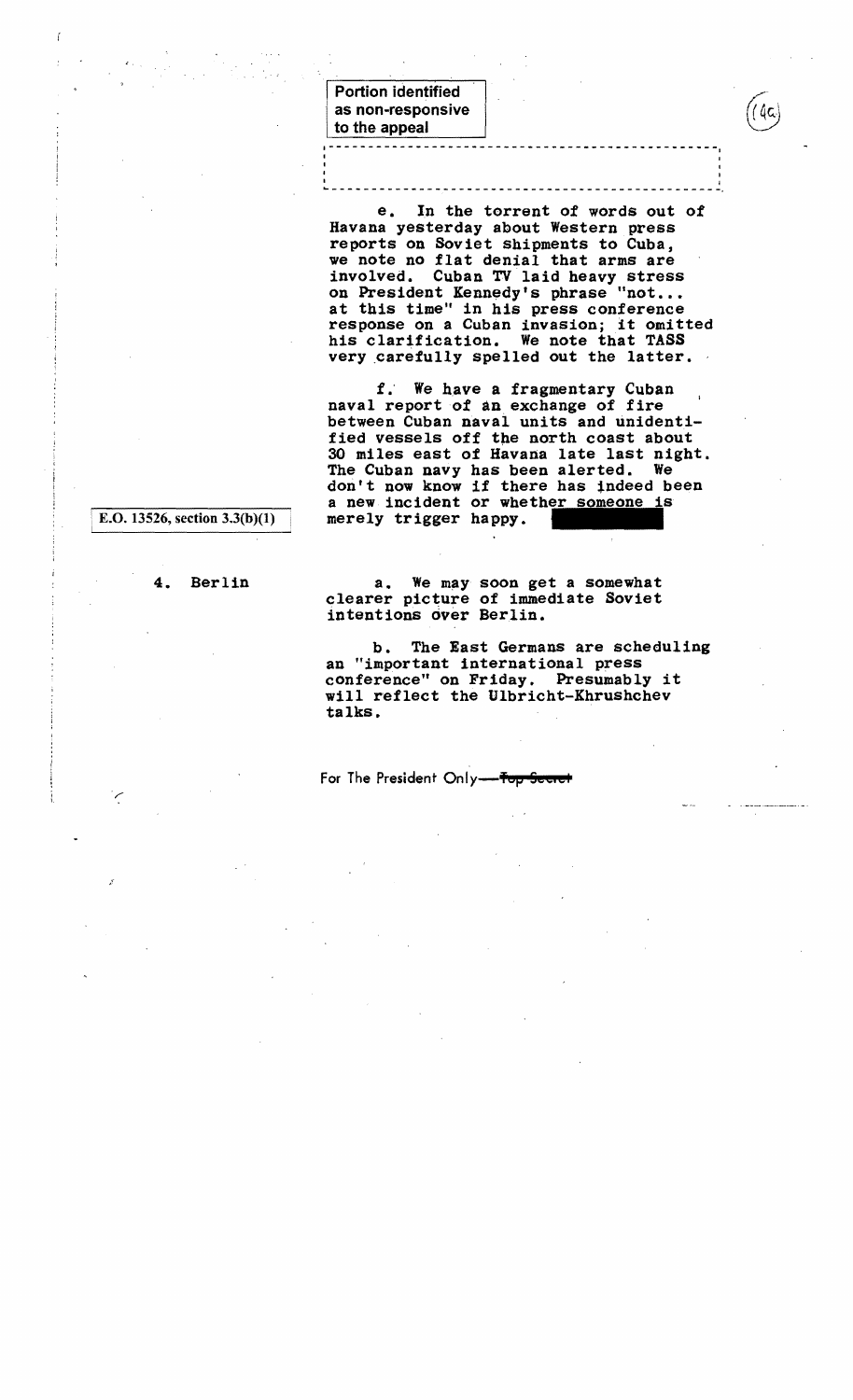Portion identified . as non-responsive to the appeal 1------- --------------------..------------------

e. In the torrent of words out of Havana yesterday about Western press reports on Soviet shipments to Cuba, we note no flat denial that arms are involved. Cuban TV laid heavy stress on President Kennedy's phrase "not... at this time" in his press conference response on a Cuban invasion; it omitted his clarification. We note that TASS very carefully spelled out the latter.

~--------------.---------------------------------

I

f. We have a fragmentary Cuban naval report of an exchange of fire between Cuban naval units and unidenti fied vessels off the north coast about 30 miles east of Havana late last night. The Cuban navy has been alerted. We don't now know if there has indeed been a new incident or whether someone is merely trigger happy.

E.O. 13526, section  $3.3(b)(1)$ 

I

4. Berlin

a. We may soon get a somewhat clearer picture of immediate Soviet intentions dver Berlin.

b. The East Germans are scheduling an "important international press conference" on Friday. Presumably it will reflect the Ulbricht-Khrushchev talks.

For The President Only-for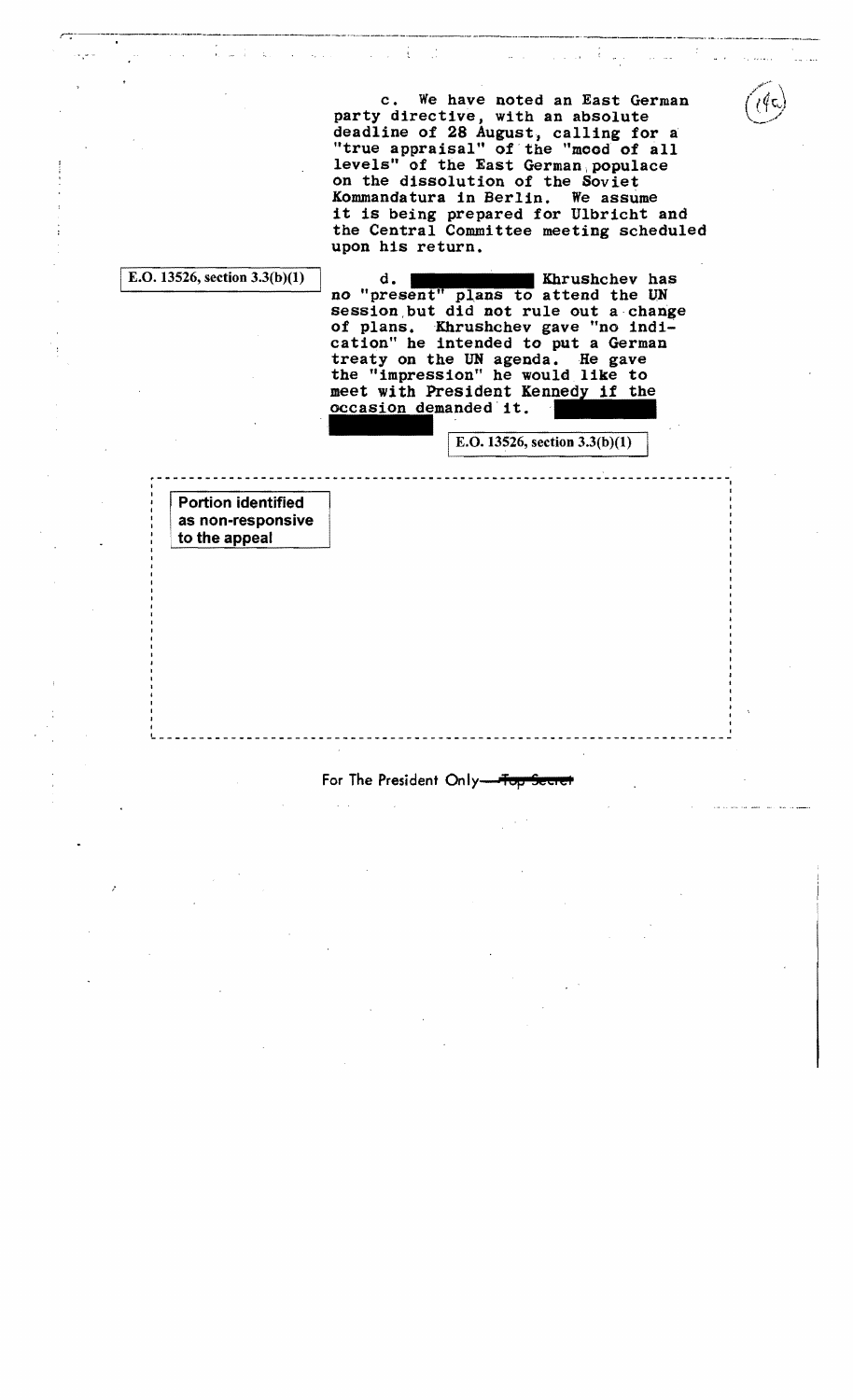c. We have noted an East German party directive, with an absolute deadline of 28 August, calling for a "true appraisal" of the "mood of all levels" of the East German, populace on the dissolution of the Soviet Kommandatura in Berlin. We assume it is being prepared for Ulbricht and the Central Committee meeting scheduled upon his return.

and the state

r-;··--------·-·--------.~----·-------····~--·--·-·--··*..* ~.---\_,.\_\_\_¥ ••\_\_\_\_• \_\_.\_'\_.\_\_\_\_ ~ \_\_.~ \_\_ • \_\_• \_\_.....\_\_\_\_.\_.\_,

÷

E.O. 13526, section  $3.3(b)(1)$  d. Khrushchev has no "present" plans to attend the UN session but did not rule out a change of plans. Khrushchev gave "no indication" he intended to put a German cation he intended to put a German<br>treaty on the UN agenda. He gave<br>the "impression" he would like to meet with President Kennedy if the occasion demanded it. on" he would like to<br>sident Kennedy if the<br>nded it.

E.O. 13526, section  $3.3(b)(1)$ 

I

Portion identified as non-responsive to the appeal

/

For The President Only-

Let us a constant the contribution of the contribution of the contribution of the contribution of  $\mathcal{E}_\text{c}$ 

r----------~-----------~----- *\_\_\_\_\_\_\_\_\_\_\_\_\_\_\_\_\_\_\_\_\_\_\_\_* ------------------ <sup>I</sup>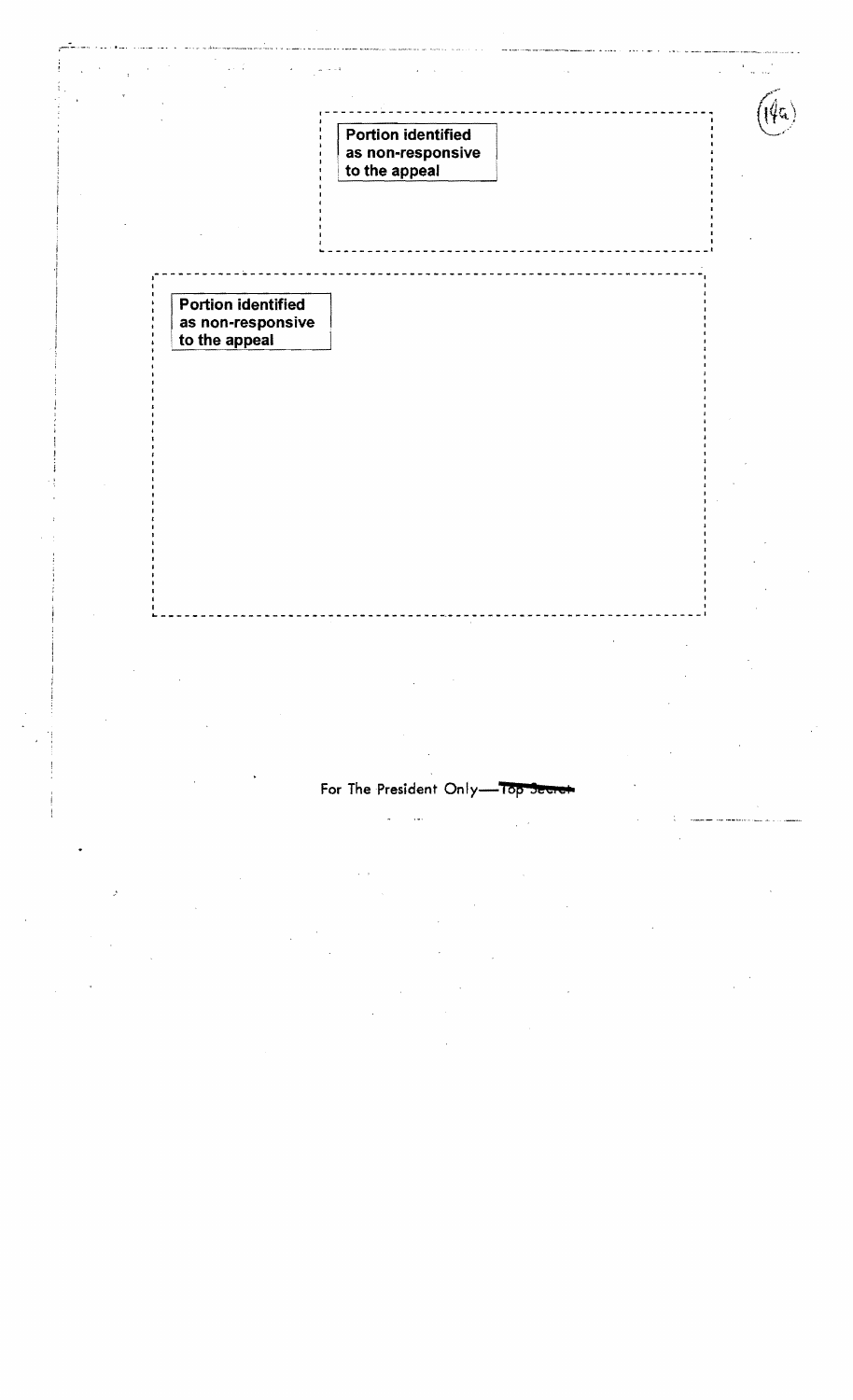|               | $\epsilon$<br>$\lambda \in \mathbb{R}$                          | $\mathcal{O}(\sqrt{2\pi})\sim 14$                               | $\sim$ $\sim$ |  |
|---------------|-----------------------------------------------------------------|-----------------------------------------------------------------|---------------|--|
|               |                                                                 |                                                                 |               |  |
|               |                                                                 | <b>Portion identified</b><br>as non-responsive<br>to the appeal |               |  |
|               |                                                                 |                                                                 |               |  |
|               |                                                                 |                                                                 |               |  |
|               |                                                                 |                                                                 |               |  |
|               |                                                                 |                                                                 |               |  |
|               | <b>Portion identified</b><br>as non-responsive<br>to the appeal |                                                                 |               |  |
|               |                                                                 |                                                                 |               |  |
|               |                                                                 |                                                                 |               |  |
|               |                                                                 |                                                                 |               |  |
|               |                                                                 |                                                                 |               |  |
|               |                                                                 |                                                                 |               |  |
|               |                                                                 |                                                                 |               |  |
|               |                                                                 |                                                                 |               |  |
|               |                                                                 |                                                                 |               |  |
|               |                                                                 |                                                                 |               |  |
|               |                                                                 |                                                                 |               |  |
|               |                                                                 |                                                                 |               |  |
|               |                                                                 |                                                                 |               |  |
|               |                                                                 |                                                                 |               |  |
|               |                                                                 |                                                                 |               |  |
|               |                                                                 |                                                                 |               |  |
|               |                                                                 | For The President Only-Top Secret                               |               |  |
|               |                                                                 |                                                                 |               |  |
|               |                                                                 |                                                                 |               |  |
|               |                                                                 |                                                                 |               |  |
| $\mathcal{F}$ |                                                                 |                                                                 |               |  |
|               |                                                                 |                                                                 |               |  |
|               |                                                                 |                                                                 |               |  |
|               |                                                                 |                                                                 |               |  |
|               |                                                                 |                                                                 |               |  |
|               |                                                                 |                                                                 |               |  |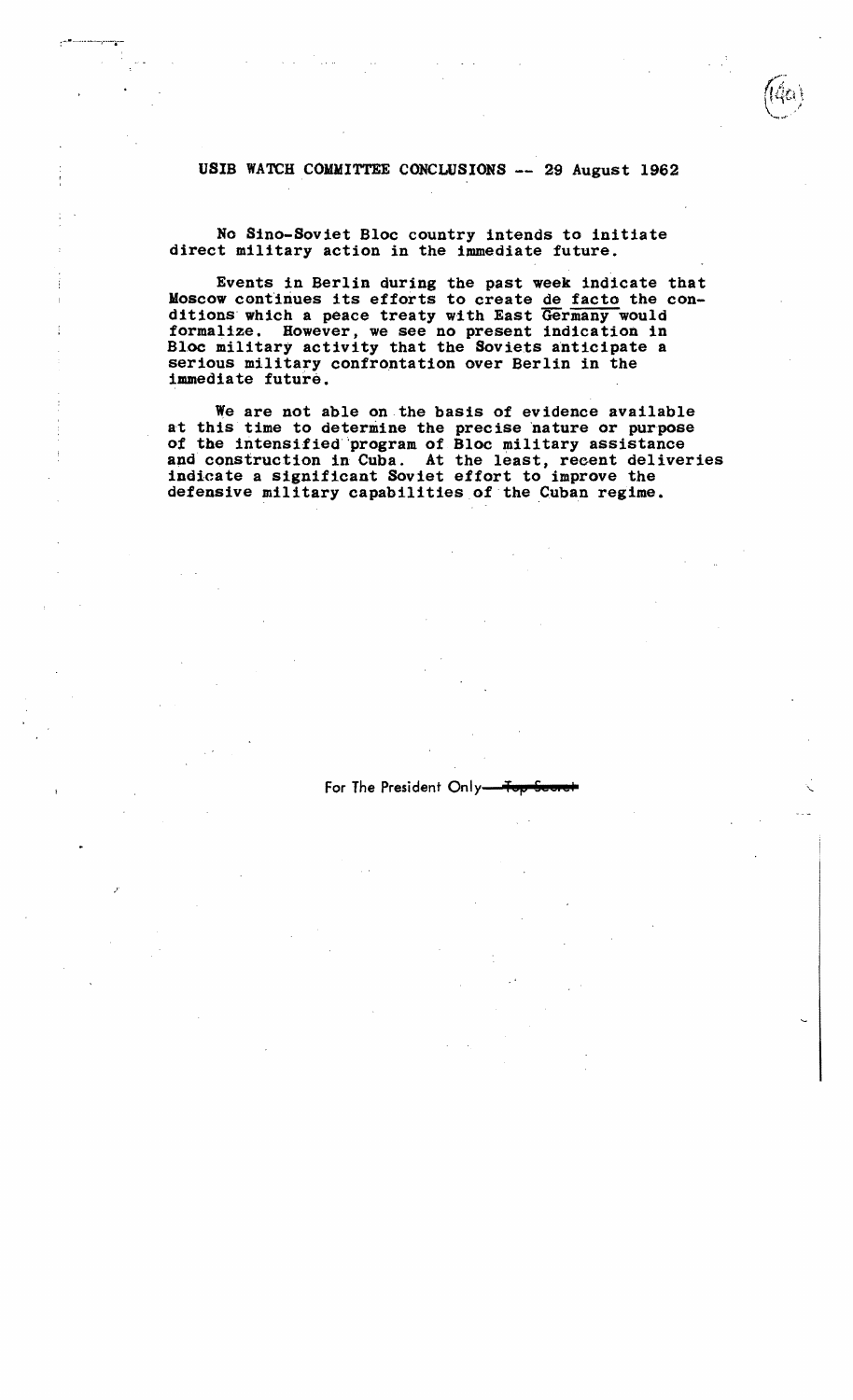### USIB WATCH COMMITTEE CONCLUSIONS -- 29 August 1962

No Sino-Soviet Bloc country intends to initiate direct military action in the immediate future.

Events in Berlin during the past week indicate that Moscow continues its efforts to create de facto the conditions which a peace treaty with East Germany would formalize. However, we see no present indication in Bloc military activity that the Soviets anticipate a serious military confrontation over Berlin in the immediate future.

We are not able on the basis of evidence available at this time to determine the precise 'nature or purpose *ot* the intensified"program of Bloc military assistance and construction in Cuba. At the least, recent deliveries indicate a significant Soviet effort to improve the defensive military capabilities of the Cuban regime.

For The President Only-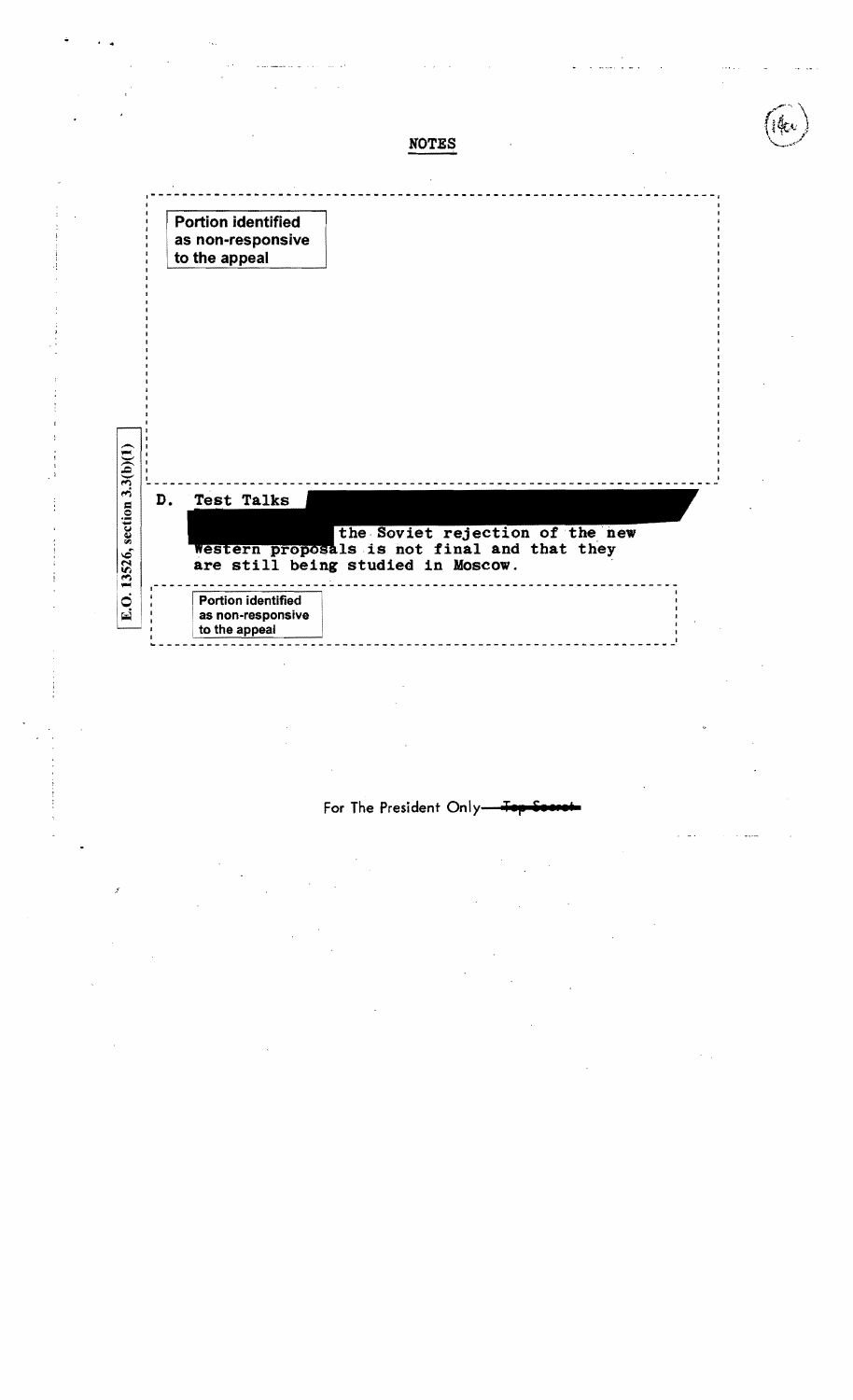

· .

For The President Only-